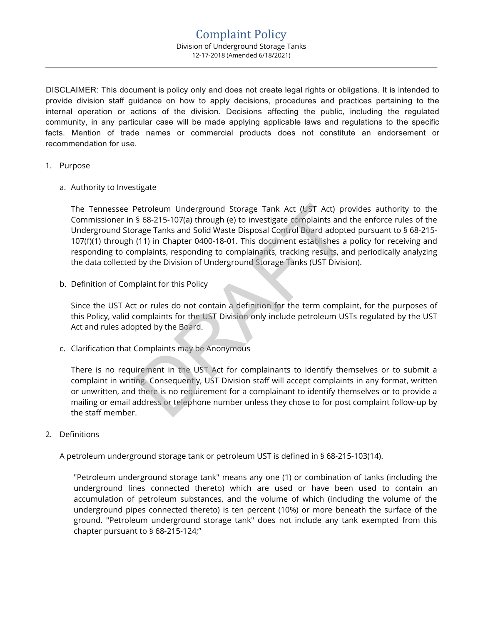DISCLAIMER: This document is policy only and does not create legal rights or obligations. It is intended to provide division staff guidance on how to apply decisions, procedures and practices pertaining to the internal operation or actions of the division. Decisions affecting the public, including the regulated community, in any particular case will be made applying applicable laws and regulations to the specific facts. Mention of trade names or commercial products does not constitute an endorsement or recommendation for use.

## 1. Purpose

a. Authority to Investigate

The Tennessee Petroleum Underground Storage Tank Act (UST Act) provides authority to the Commissioner in § 68-215-107(a) through (e) to investigate complaints and the enforce rules of the Underground Storage Tanks and Solid Waste Disposal Control Board adopted pursuant to § 68-215- 107(f)(1) through (11) in Chapter 0400-18-01. This document establishes a policy for receiving and responding to complaints, responding to complainants, tracking results, and periodically analyzing the data collected by the Division of Underground Storage Tanks (UST Division). Petroleum Underground Storage Tank Act (UST Act) proved Storage Tank Act (UST Act) proved Storage Tanks and Solid Waste Disposal Control Board adopte (11) in Chapter 0400-18-01. This document establishes a mplaints, respon

b. Definition of Complaint for this Policy

Since the UST Act or rules do not contain a definition for the term complaint, for the purposes of this Policy, valid complaints for the UST Division only include petroleum USTs regulated by the UST Act and rules adopted by the Board.

c. Clarification that Complaints may be Anonymous

There is no requirement in the UST Act for complainants to identify themselves or to submit a complaint in writing. Consequently, UST Division staff will accept complaints in any format, written or unwritten, and there is no requirement for a complainant to identify themselves or to provide a mailing or email address or telephone number unless they chose to for post complaint follow-up by the staff member.

2. Definitions

A petroleum underground storage tank or petroleum UST is defined in § 68-215-103(14).

"Petroleum underground storage tank" means any one (1) or combination of tanks (including the underground lines connected thereto) which are used or have been used to contain an accumulation of petroleum substances, and the volume of which (including the volume of the underground pipes connected thereto) is ten percent (10%) or more beneath the surface of the ground. "Petroleum underground storage tank" does not include any tank exempted from this chapter pursuant to § 68-215-124;"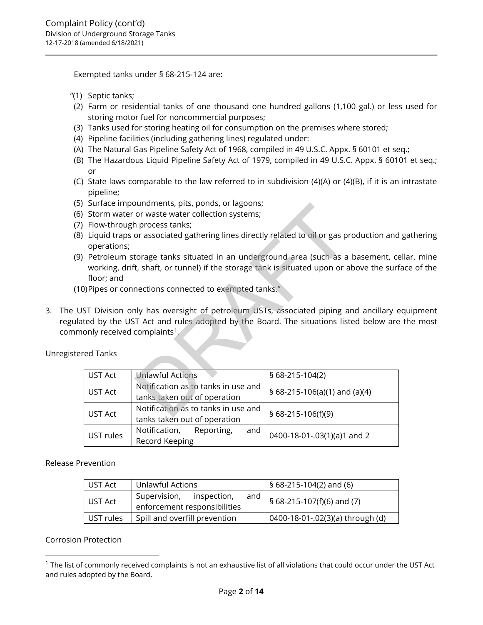Exempted tanks under § 68-215-124 are:

- "(1) Septic tanks;
- (2) Farm or residential tanks of one thousand one hundred gallons (1,100 gal.) or less used for storing motor fuel for noncommercial purposes;
- (3) Tanks used for storing heating oil for consumption on the premises where stored;
- (4) Pipeline facilities (including gathering lines) regulated under:
- (A) The Natural Gas Pipeline Safety Act of 1968, compiled in 49 U.S.C. Appx. § 60101 et seq.;
- (B) The Hazardous Liquid Pipeline Safety Act of 1979, compiled in 49 U.S.C. Appx. § 60101 et seq.; or
- (C) State laws comparable to the law referred to in subdivision (4)(A) or (4)(B), if it is an intrastate pipeline;
- (5) Surface impoundments, pits, ponds, or lagoons;
- (6) Storm water or waste water collection systems;
- (7) Flow-through process tanks;
- (8) Liquid traps or associated gathering lines directly related to oil or gas production and gathering operations;
- (9) Petroleum storage tanks situated in an underground area (such as a basement, cellar, mine working, drift, shaft, or tunnel) if the storage tank is situated upon or above the surface of the floor; and
- (10) Pipes or connections connected to exempted tanks."
- 3. The UST Division only has oversight of petroleum USTs, associated piping and ancillary equipment regulated by the UST Act and rules adopted by the Board. The situations listed below are the most commonly received complaints<sup>1</sup>.

Unregistered Tanks

| operations;<br>floor; and | Storm water or waste water collection systems;<br>Flow-through process tanks;<br>)Pipes or connections connected to exempted tanks." | Liquid traps or associated gathering lines directly related to oil or gas production and<br>Petroleum storage tanks situated in an underground area (such as a basement, co<br>working, drift, shaft, or tunnel) if the storage tank is situated upon or above the surf |
|---------------------------|--------------------------------------------------------------------------------------------------------------------------------------|-------------------------------------------------------------------------------------------------------------------------------------------------------------------------------------------------------------------------------------------------------------------------|
|                           | ted by the UST Act and rules adopted by the Board. The situations listed below are                                                   | <code>ST</code> Division only has oversight of petroleum USTs, associated piping and ancillary $\epsilon$                                                                                                                                                               |
| ed Tanks                  | only received complaints $^1\!\!$ .                                                                                                  |                                                                                                                                                                                                                                                                         |
| <b>UST Act</b>            | <b>Unlawful Actions</b>                                                                                                              | § 68-215-104(2)                                                                                                                                                                                                                                                         |
| <b>UST Act</b>            | Notification as to tanks in use and<br>tanks taken out of operation                                                                  | § 68-215-106(a)(1) and (a)(4)                                                                                                                                                                                                                                           |
| UST Act                   | Notification as to tanks in use and<br>tanks taken out of operation                                                                  | § 68-215-106(f)(9)                                                                                                                                                                                                                                                      |

Release Prevention

| UST Act   | Unlawful Actions                                                   | $$68-215-104(2)$ and (6)            |  |
|-----------|--------------------------------------------------------------------|-------------------------------------|--|
| UST Act   | Supervision,<br>inspection,<br>and<br>enforcement responsibilities | $\sqrt{5}$ 68-215-107(f)(6) and (7) |  |
| UST rules | Spill and overfill prevention                                      | 0400-18-01-.02(3)(a) through (d)    |  |

Corrosion Protection

<span id="page-1-0"></span> $1$  The list of commonly received complaints is not an exhaustive list of all violations that could occur under the UST Act and rules adopted by the Board.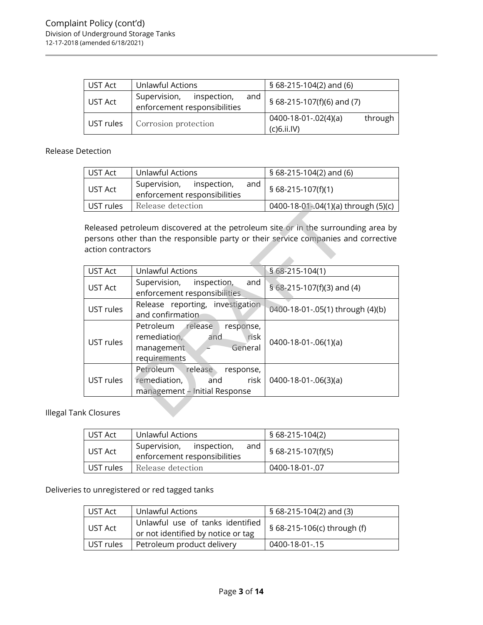| UST Act   | Unlawful Actions                                                   | $$68-215-104(2)$ and (6)                              |  |  |
|-----------|--------------------------------------------------------------------|-------------------------------------------------------|--|--|
| UST Act   | Supervision,<br>inspection,<br>and<br>enforcement responsibilities | § 68-215-107(f)(6) and (7)                            |  |  |
| UST rules | Corrosion protection                                               | through<br>$0400 - 18 - 01 - 02(4)(a)$<br>(C)6.ii.IV) |  |  |

# Release Detection

| UST Act   | Unlawful Actions                                                | § 68-215-104(2) and (6)             |  |
|-----------|-----------------------------------------------------------------|-------------------------------------|--|
| UST Act   | Supervision, inspection,<br>and<br>enforcement responsibilities | $\frac{1}{2}$ § 68-215-107(f)(1)    |  |
| UST rules | Release detection                                               | 0400-18-01-.04(1)(a) through (5)(c) |  |

| UST rules          | Release detection<br>0400-18-01-.04(1)(a) through (5)(c)                                                                                                                |                                  |  |
|--------------------|-------------------------------------------------------------------------------------------------------------------------------------------------------------------------|----------------------------------|--|
| action contractors | Released petroleum discovered at the petroleum site or in the surrounding area by<br>persons other than the responsible party or their service companies and corrective |                                  |  |
| <b>UST Act</b>     | <b>Unlawful Actions</b>                                                                                                                                                 | $$68-215-104(1)$                 |  |
| UST Act            | Supervision,<br>inspection,<br>and<br>enforcement responsibilities                                                                                                      | § $68-215-107(f)(3)$ and (4)     |  |
| UST rules          | Release reporting, investigation<br>and confirmation                                                                                                                    | 0400-18-01-.05(1) through (4)(b) |  |
| UST rules          | Petroleum release<br>response,<br>remediation,<br>risk<br>and<br>General<br>management<br>requirements                                                                  | $0400 - 18 - 01 - 06(1)(a)$      |  |
| UST rules          | Petroleum<br>release<br>response,<br>remediation,<br>risk<br>and<br>management - Initial Response                                                                       | $0400 - 18 - 01 - 06(3)(a)$      |  |
| k Closures         |                                                                                                                                                                         |                                  |  |

Illegal Tank Closures

| UST Act   | Unlawful Actions                                                | § 68-215-104(2)    |
|-----------|-----------------------------------------------------------------|--------------------|
| UST Act   | Supervision, inspection,<br>and<br>enforcement responsibilities | § 68-215-107(f)(5) |
| UST rules | Release detection                                               | 0400-18-01-.07     |

Deliveries to unregistered or red tagged tanks

| UST Act   | Unlawful Actions                                                       | § 68-215-104(2) and (3)     |  |
|-----------|------------------------------------------------------------------------|-----------------------------|--|
| l UST Act | Unlawful use of tanks identified<br>or not identified by notice or tag | § 68-215-106(c) through (f) |  |
| UST rules | Petroleum product delivery                                             | 0400-18-01-.15              |  |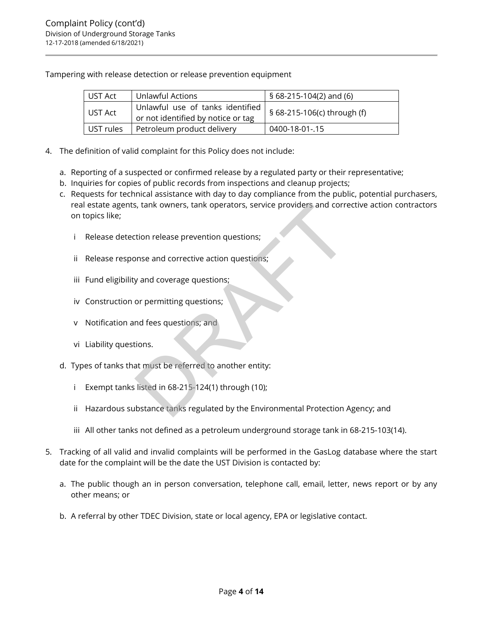Tampering with release detection or release prevention equipment

| UST Act   | Unlawful Actions                                                       | § 68-215-104(2) and (6)     |  |
|-----------|------------------------------------------------------------------------|-----------------------------|--|
| UST Act   | Unlawful use of tanks identified<br>or not identified by notice or tag | § 68-215-106(c) through (f) |  |
| UST rules | Petroleum product delivery                                             | 0400-18-01-.15              |  |

- 4. The definition of valid complaint for this Policy does not include:
	- a. Reporting of a suspected or confirmed release by a regulated party or their representative;
	- b. Inquiries for copies of public records from inspections and cleanup projects;
	- c. Requests for technical assistance with day to day compliance from the public, potential purchasers, real estate agents, tank owners, tank operators, service providers and corrective action contractors on topics like; s, tank owners, tank operators, service providers and correction release prevention questions;<br>
	some and corrective action questions;<br>
	y and coverage questions;<br>
	or permitting questions;<br>
	and fees questions; and<br>
	dions.<br>
	a
		- i Release detection release prevention questions;
		- ii Release response and corrective action questions;
		- iii Fund eligibility and coverage questions;
		- iv Construction or permitting questions;
		- v Notification and fees questions; and
		- vi Liability questions.
	- d. Types of tanks that must be referred to another entity:
		- i Exempt tanks listed in 68-215-124(1) through (10);
		- ii Hazardous substance tanks regulated by the Environmental Protection Agency; and
		- iii All other tanks not defined as a petroleum underground storage tank in 68-215-103(14).
- 5. Tracking of all valid and invalid complaints will be performed in the GasLog database where the start date for the complaint will be the date the UST Division is contacted by:
	- a. The public though an in person conversation, telephone call, email, letter, news report or by any other means; or
	- b. A referral by other TDEC Division, state or local agency, EPA or legislative contact.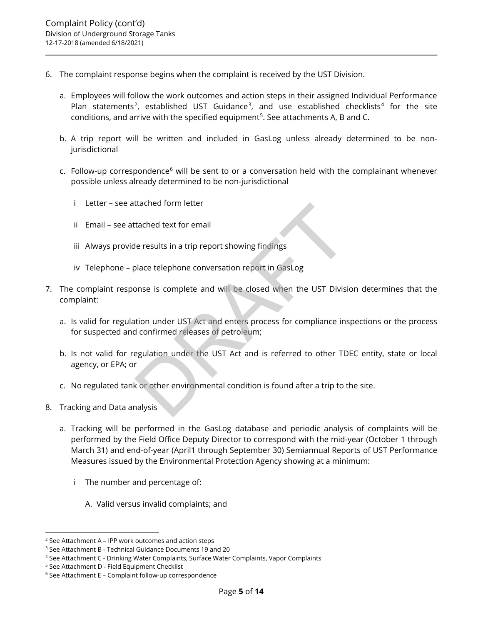- 6. The complaint response begins when the complaint is received by the UST Division.
	- a. Employees will follow the work outcomes and action steps in their assigned Individual Performance Plan statements<sup>[2](#page-4-0)</sup>, established UST Guidance<sup>3</sup>, and use established checklists<sup>[4](#page-4-2)</sup> for the site conditions, and arrive with the specified equipment<sup>[5](#page-4-3)</sup>. See attachments A, B and C.
	- b. A trip report will be written and included in GasLog unless already determined to be nonjurisdictional
	- c. Follow-up correspondence $6$  will be sent to or a conversation held with the complainant whenever possible unless already determined to be non-jurisdictional
		- i Letter see attached form letter
		- ii Email see attached text for email
		- iii Always provide results in a trip report showing findings
		- iv Telephone place telephone conversation report in GasLog
- 7. The complaint response is complete and will be closed when the UST Division determines that the complaint:
	- a. Is valid for regulation under UST Act and enters process for compliance inspections or the process for suspected and confirmed releases of petroleum;
- b. Is not valid for regulation under the UST Act and is referred to other TDEC entity, state or local agency, or EPA; or trached text for email<br>
le results in a trip report showing findings<br>
place telephone conversation report in GasLog<br>
ponse is complete and will be closed when the UST Divisi<br>
tion under UST Act and enters process for compl
	- c. No regulated tank or other environmental condition is found after a trip to the site.
- 8. Tracking and Data analysis
	- a. Tracking will be performed in the GasLog database and periodic analysis of complaints will be performed by the Field Office Deputy Director to correspond with the mid-year (October 1 through March 31) and end-of-year (April1 through September 30) Semiannual Reports of UST Performance Measures issued by the Environmental Protection Agency showing at a minimum:
		- i The number and percentage of:
			- A. Valid versus invalid complaints; and

<span id="page-4-0"></span> $2$  See Attachment A – IPP work outcomes and action steps

<span id="page-4-1"></span><sup>3</sup> See Attachment B - Technical Guidance Documents 19 and 20

<span id="page-4-2"></span><sup>4</sup> See Attachment C - Drinking Water Complaints, Surface Water Complaints, Vapor Complaints

<span id="page-4-4"></span><span id="page-4-3"></span><sup>5</sup> See Attachment D - Field Equipment Checklist

<sup>6</sup> See Attachment E – Complaint follow-up correspondence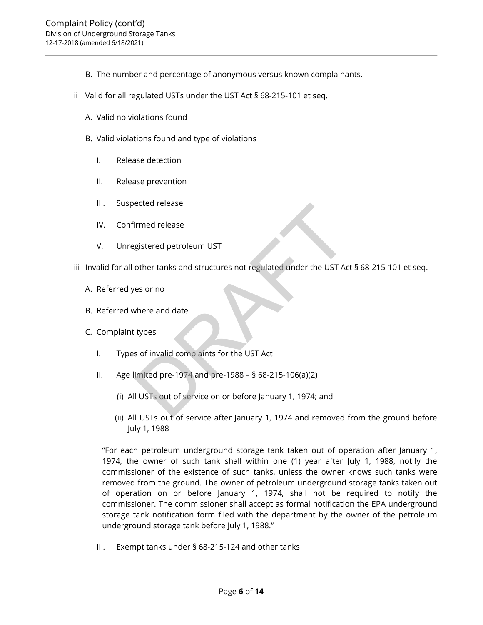- B. The number and percentage of anonymous versus known complainants.
- ii Valid for all regulated USTs under the UST Act § 68-215-101 et seq.
	- A. Valid no violations found
	- B. Valid violations found and type of violations
		- I. Release detection
		- II. Release prevention
		- III. Suspected release
		- IV. Confirmed release
		- V. Unregistered petroleum UST
- iii Invalid for all other tanks and structures not regulated under the UST Act § 68-215-101 et seq. ected release<br>gistered petroleum UST<br>other tanks and structures not regulated under the UST Ac<br>es or no<br>where and date<br>types<br>s of invalid complaints for the UST Act<br>imited pre-1974 and pre-1988 – § 68-215-106(a)(2)<br>I USTs
	- A. Referred yes or no
	- B. Referred where and date
	- C. Complaint types
		- I. Types of invalid complaints for the UST Act
		- II. Age limited pre-1974 and pre-1988 § 68-215-106(a)(2)
			- (i) All USTs out of service on or before January 1, 1974; and
			- (ii) All USTs out of service after January 1, 1974 and removed from the ground before July 1, 1988

"For each petroleum underground storage tank taken out of operation after January 1, 1974, the owner of such tank shall within one (1) year after July 1, 1988, notify the commissioner of the existence of such tanks, unless the owner knows such tanks were removed from the ground. The owner of petroleum underground storage tanks taken out of operation on or before January 1, 1974, shall not be required to notify the commissioner. The commissioner shall accept as formal notification the EPA underground storage tank notification form filed with the department by the owner of the petroleum underground storage tank before July 1, 1988."

III. Exempt tanks under § 68-215-124 and other tanks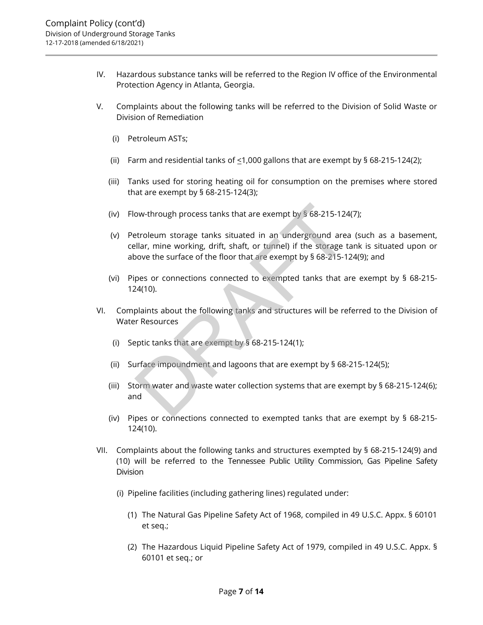- IV. Hazardous substance tanks will be referred to the Region IV office of the Environmental Protection Agency in Atlanta, Georgia.
- V. Complaints about the following tanks will be referred to the Division of Solid Waste or Division of Remediation
	- (i) Petroleum ASTs;
	- (ii) Farm and residential tanks of  $\leq$ 1,000 gallons that are exempt by § 68-215-124(2);
	- (iii) Tanks used for storing heating oil for consumption on the premises where stored that are exempt by § 68-215-124(3);
	- (iv) Flow-through process tanks that are exempt by § 68-215-124(7);
	- (v) Petroleum storage tanks situated in an underground area (such as a basement, cellar, mine working, drift, shaft, or tunnel) if the storage tank is situated upon or above the surface of the floor that are exempt by § 68-215-124(9); and ow-through process tanks that are exempt by § 68-215-124<br>etroleum storage tanks situated in an underground area<br>ellar, mine working, drift, shaft, or tunnel) if the storage t<br>over the surface of the floor that are exempt b
	- (vi) Pipes or connections connected to exempted tanks that are exempt by § 68-215- 124(10).
- VI. Complaints about the following tanks and structures will be referred to the Division of Water Resources
	- (i) Septic tanks that are exempt by § 68-215-124(1);
	- (ii) Surface impoundment and lagoons that are exempt by § 68-215-124(5);
	- (iii) Storm water and waste water collection systems that are exempt by § 68-215-124(6); and
	- (iv) Pipes or connections connected to exempted tanks that are exempt by § 68-215- 124(10).
- VII. Complaints about the following tanks and structures exempted by § 68-215-124(9) and (10) will be referred to the Tennessee Public Utility Commission, Gas Pipeline Safety Division
	- (i) Pipeline facilities (including gathering lines) regulated under:
		- (1) The Natural Gas Pipeline Safety Act of 1968, compiled in 49 U.S.C. Appx. § 60101 et seq.;
		- (2) The Hazardous Liquid Pipeline Safety Act of 1979, compiled in 49 U.S.C. Appx. § 60101 et seq.; or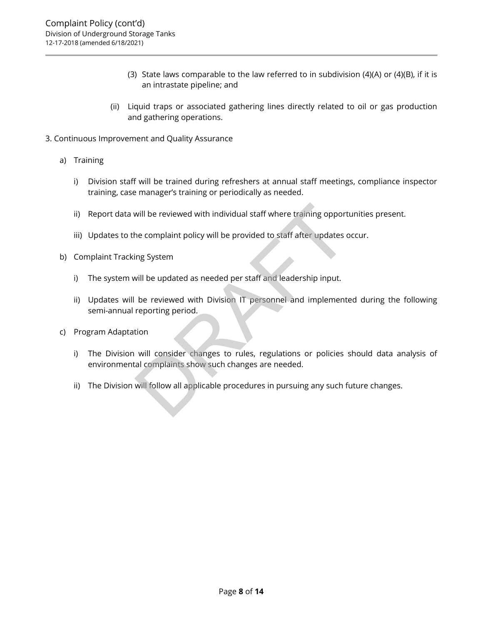- (3) State laws comparable to the law referred to in subdivision (4)(A) or (4)(B), if it is an intrastate pipeline; and
- (ii) Liquid traps or associated gathering lines directly related to oil or gas production and gathering operations.
- 3. Continuous Improvement and Quality Assurance
	- a) Training
		- i) Division staff will be trained during refreshers at annual staff meetings, compliance inspector training, case manager's training or periodically as needed.
		- ii) Report data will be reviewed with individual staff where training opportunities present.
		- iii) Updates to the complaint policy will be provided to staff after updates occur.
	- b) Complaint Tracking System
		- i) The system will be updated as needed per staff and leadership input.
- ii) Updates will be reviewed with Division IT personnel and implemented during the following semi-annual reporting period. will be reviewed with individual staff where training opport<br>the complaint policy will be provided to staff after updates comparent<br>ing System<br>will be updated as needed per staff and leadership input.<br>be reviewed with Divi
	- c) Program Adaptation
		- i) The Division will consider changes to rules, regulations or policies should data analysis of environmental complaints show such changes are needed.
		- ii) The Division will follow all applicable procedures in pursuing any such future changes.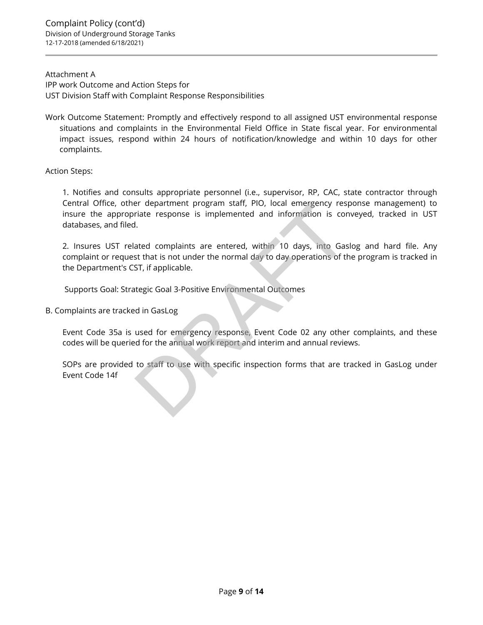Attachment A IPP work Outcome and Action Steps for UST Division Staff with Complaint Response Responsibilities

Work Outcome Statement: Promptly and effectively respond to all assigned UST environmental response situations and complaints in the Environmental Field Office in State fiscal year. For environmental impact issues, respond within 24 hours of notification/knowledge and within 10 days for other complaints.

Action Steps:

1. Notifies and consults appropriate personnel (i.e., supervisor, RP, CAC, state contractor through Central Office, other department program staff, PIO, local emergency response management) to insure the appropriate response is implemented and information is conveyed, tracked in UST databases, and filed.

2. Insures UST related complaints are entered, within 10 days, into Gaslog and hard file. Any complaint or request that is not under the normal day to day operations of the program is tracked in the Department's CST, if applicable. er department program start, PIO, local emergency respective response is implemented and information is condition.<br>I.<br>ated complaints are entered, within 10 days, into Gas<br>ast that is not under the normal day to day operat

Supports Goal: Strategic Goal 3-Positive Environmental Outcomes

B. Complaints are tracked in GasLog

Event Code 35a is used for emergency response, Event Code 02 any other complaints, and these codes will be queried for the annual work report and interim and annual reviews.

SOPs are provided to staff to use with specific inspection forms that are tracked in GasLog under Event Code 14f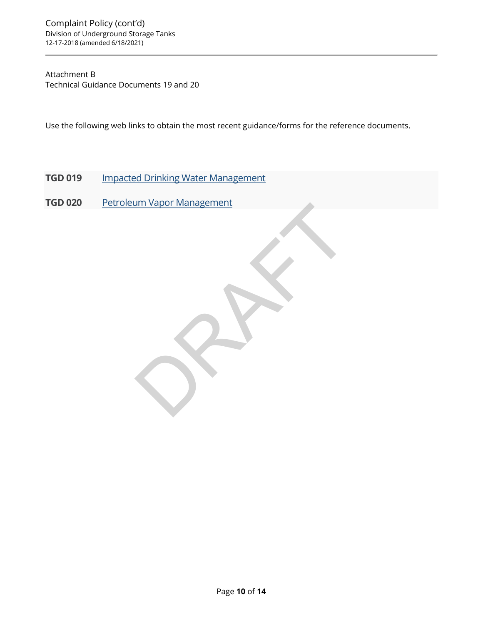# Attachment B Technical Guidance Documents 19 and 20

Use the following web links to obtain the most recent guidance/forms for the reference documents.

- **TGD 019** [Impacted Drinking Water Management](https://www.tn.gov/content/dam/tn/environment/underground-storage-tanks/documents/tgds/ust_guidance_tgd-0191.pdf)
- **TGD 020** Petroleum Vapor Management DRAFT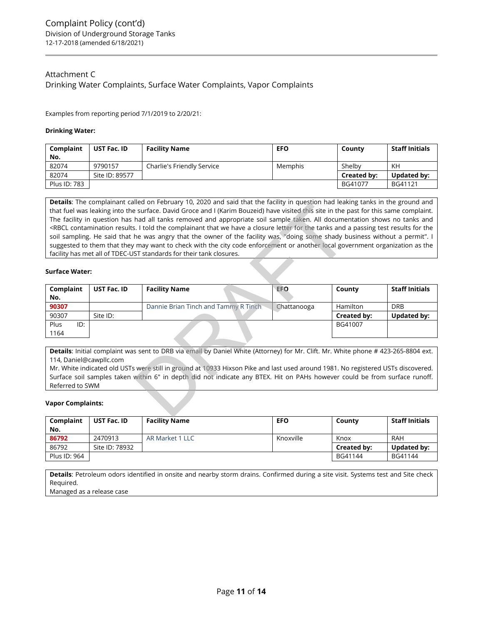# Attachment C Drinking Water Complaints, Surface Water Complaints, Vapor Complaints

Examples from reporting period 7/1/2019 to 2/20/21:

### **Drinking Water:**

| Complaint    | UST Fac. ID    | <b>Facility Name</b>       | <b>EFO</b> | County             | <b>Staff Initials</b> |
|--------------|----------------|----------------------------|------------|--------------------|-----------------------|
| No.          |                |                            |            |                    |                       |
| 82074        | 9790157        | Charlie's Friendly Service | Memphis    | Shelby             | KH                    |
| 82074        | Site ID: 89577 |                            |            | <b>Created by:</b> | <b>Updated by:</b>    |
| Plus ID: 783 |                |                            |            | BG41077            | BG41121               |

**Details**: The complainant called on February 10, 2020 and said that the facility in question had leaking tanks in the ground and that fuel was leaking into the surface. David Groce and I (Karim Bouzeid) have visited this site in the past for this same complaint. The facility in question has had all tanks removed and appropriate soil sample taken. All documentation shows no tanks and <RBCL contamination results. I told the complainant that we have a closure letter for the tanks and a passing test results for the soil sampling. He said that he was angry that the owner of the facility was, "doing some shady business without a permit". I suggested to them that they may want to check with the city code enforcement or another local government organization as the facility has met all of TDEC-UST standards for their tank closures.

### **Surface Water:**

|                                                                                                                                                                                                  |                                                                                                                              | <b>Details.</b> The complainant called on repruary TO, 2020 and said that the facility in question had leaking tanks in the ground and<br>that fuel was leaking into the surface. David Groce and I (Karim Bouzeid) have visited this site in the past for this same complaint. |             |             |                       |  |
|--------------------------------------------------------------------------------------------------------------------------------------------------------------------------------------------------|------------------------------------------------------------------------------------------------------------------------------|---------------------------------------------------------------------------------------------------------------------------------------------------------------------------------------------------------------------------------------------------------------------------------|-------------|-------------|-----------------------|--|
| The facility in question has had all tanks removed and appropriate soil sample taken. All documentation shows no tanks and                                                                       |                                                                                                                              |                                                                                                                                                                                                                                                                                 |             |             |                       |  |
| <rbcl a="" and="" closure="" complainant="" contamination="" for="" have="" i="" letter="" passing="" results="" results.="" tanks="" test="" th="" that="" the="" the<="" told="" we=""></rbcl> |                                                                                                                              |                                                                                                                                                                                                                                                                                 |             |             |                       |  |
|                                                                                                                                                                                                  | soil sampling. He said that he was angry that the owner of the facility was, "doing some shady business without a permit". I |                                                                                                                                                                                                                                                                                 |             |             |                       |  |
|                                                                                                                                                                                                  |                                                                                                                              | suggested to them that they may want to check with the city code enforcement or another local government organization as the                                                                                                                                                    |             |             |                       |  |
|                                                                                                                                                                                                  |                                                                                                                              | facility has met all of TDEC-UST standards for their tank closures.                                                                                                                                                                                                             |             |             |                       |  |
| <b>Surface Water:</b>                                                                                                                                                                            |                                                                                                                              |                                                                                                                                                                                                                                                                                 |             |             |                       |  |
| Complaint                                                                                                                                                                                        | <b>UST Fac. ID</b>                                                                                                           | <b>Facility Name</b>                                                                                                                                                                                                                                                            | <b>EFO</b>  | County      | <b>Staff Initials</b> |  |
| No.                                                                                                                                                                                              |                                                                                                                              |                                                                                                                                                                                                                                                                                 |             |             |                       |  |
| 90307                                                                                                                                                                                            |                                                                                                                              | Dannie Brian Tinch and Tammy R Tinch                                                                                                                                                                                                                                            | Chattanooga | Hamilton    | <b>DRB</b>            |  |
| 90307                                                                                                                                                                                            | Site ID:                                                                                                                     |                                                                                                                                                                                                                                                                                 |             | Created by: | <b>Updated by:</b>    |  |
| Plus<br>ID:                                                                                                                                                                                      |                                                                                                                              |                                                                                                                                                                                                                                                                                 |             | BG41007     |                       |  |
| 1164                                                                                                                                                                                             |                                                                                                                              |                                                                                                                                                                                                                                                                                 |             |             |                       |  |
|                                                                                                                                                                                                  |                                                                                                                              |                                                                                                                                                                                                                                                                                 |             |             |                       |  |
|                                                                                                                                                                                                  |                                                                                                                              | Details: Initial complaint was sent to DRB via email by Daniel White (Attorney) for Mr. Clift. Mr. White phone # 423-265-8804 ext.                                                                                                                                              |             |             |                       |  |
| 114, Daniel@cawpllc.com                                                                                                                                                                          |                                                                                                                              |                                                                                                                                                                                                                                                                                 |             |             |                       |  |
|                                                                                                                                                                                                  |                                                                                                                              | Mr. White indicated old USTs were still in ground at 10933 Hixson Pike and last used around 1981. No registered USTs discovered.                                                                                                                                                |             |             |                       |  |
|                                                                                                                                                                                                  |                                                                                                                              | Surface soil samples taken within 6" in depth did not indicate any BTEX. Hit on PAHs however could be from surface runoff.                                                                                                                                                      |             |             |                       |  |
| Referred to SWM                                                                                                                                                                                  |                                                                                                                              |                                                                                                                                                                                                                                                                                 |             |             |                       |  |
| <b>Vapor Complaints:</b>                                                                                                                                                                         |                                                                                                                              |                                                                                                                                                                                                                                                                                 |             |             |                       |  |

### **Vapor Complaints:**

| Complaint<br>No. | UST Fac. ID    | <b>Facility Name</b> | EFO       | County      | <b>Staff Initials</b> |
|------------------|----------------|----------------------|-----------|-------------|-----------------------|
| 86792            | 2470913        | AR Market 1 LLC      | Knoxville | Knox        | RAH                   |
| 86792            | Site ID: 78932 |                      |           | Created by: | Updated by:           |
| Plus ID: 964     |                |                      |           | BG41144     | BG41144               |

**Details**: Petroleum odors identified in onsite and nearby storm drains. Confirmed during a site visit. Systems test and Site check Required.

Managed as a release case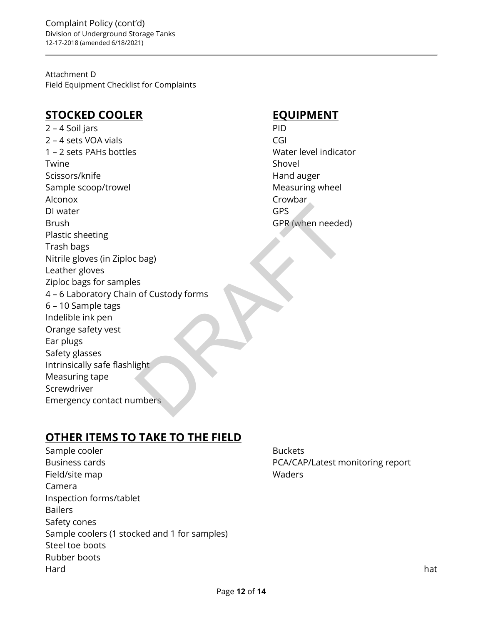Attachment D Field Equipment Checklist for Complaints

# **STOCKED COOLER EQUIPMENT**

2 – 4 Soil jars PID 2 – 4 sets VOA vials CGI 1 – 2 sets PAHs bottles Water level indicator Twine Shovel and the Shovel of the Shovel Shovel and the Shovel Shovel of the Shovel Shovel Scissors/knife **Hand auger** Hand auger Sample scoop/trowel and a set of the Measuring wheel Alconox Crowbar DI water GPS Brush GPR (when needed) Plastic sheeting Trash bags Nitrile gloves (in Ziploc bag) Leather gloves Ziploc bags for samples 4 – 6 Laboratory Chain of Custody forms 6 – 10 Sample tags Indelible ink pen Orange safety vest Ear plugs Safety glasses Intrinsically safe flashlight Measuring tape Screwdriver Emergency contact numbers GPS<br>GPR (when needed<br>c bag)<br>ss<br>ight<br>mbers

# **OTHER ITEMS TO TAKE TO THE FIELD**

Sample cooler and the state of the Buckets Buckets Business cards **PCA/CAP/Latest monitoring report** Field/site map Waders Camera Inspection forms/tablet Bailers Safety cones Sample coolers (1 stocked and 1 for samples) Steel toe boots Rubber boots Hard hat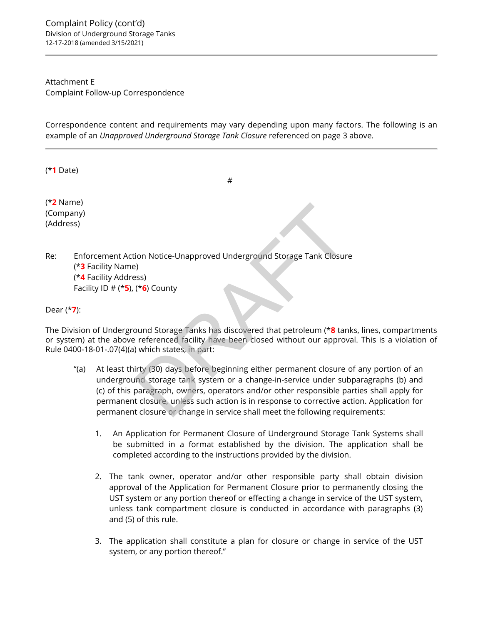Attachment E Complaint Follow-up Correspondence

Correspondence content and requirements may vary depending upon many factors. The following is an example of an *Unapproved Underground Storage Tank Closure* referenced on page 3 above.

#

(\***1** Date)

(\***2** Name) (Company) (Address)

Re: Enforcement Action Notice-Unapproved Underground Storage Tank Closure (\***3** Facility Name) (\***4** Facility Address) Facility ID # (\***5**), (\***6**) County

Dear (\***7**):

The Division of Underground Storage Tanks has discovered that petroleum (\***8** tanks, lines, compartments or system) at the above referenced facility have been closed without our approval. This is a violation of Rule 0400-18-01-.07(4)(a) which states, in part:

- "(a) At least thirty (30) days before beginning either permanent closure of any portion of an underground storage tank system or a change-in-service under subparagraphs (b) and (c) of this paragraph, owners, operators and/or other responsible parties shall apply for permanent closure, unless such action is in response to corrective action. Application for permanent closure or change in service shall meet the following requirements: ion Notice-Unapproved Underground Storage Tank Closure)<br>
Stess)<br>
(\***6**) County<br>
2000 County<br>
2000 County<br>
2000 County<br>
2000 County<br>
2000 County<br>
2000 Miximum (\***8**)<br>
2000 Vividion States, in part:<br>
2000 Vividion States, in
	- 1. An Application for Permanent Closure of Underground Storage Tank Systems shall be submitted in a format established by the division. The application shall be completed according to the instructions provided by the division.
	- 2. The tank owner, operator and/or other responsible party shall obtain division approval of the Application for Permanent Closure prior to permanently closing the UST system or any portion thereof or effecting a change in service of the UST system, unless tank compartment closure is conducted in accordance with paragraphs (3) and (5) of this rule.
	- 3. The application shall constitute a plan for closure or change in service of the UST system, or any portion thereof."